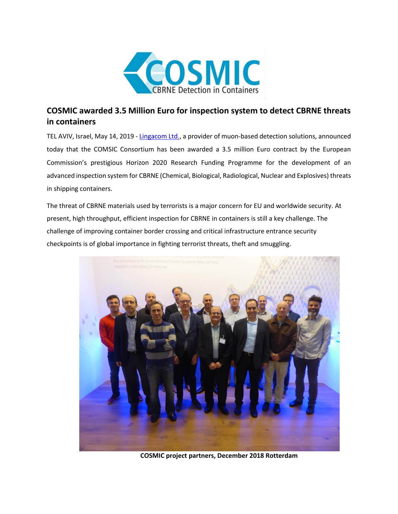

## **COSMIC awarded 3.5 Million Euro for inspection system to detect CBRNE threats in containers**

TEL AVIV, Israel, May 14, 2019 - [Lingacom Ltd.,](http://www.lingacom.com/) a provider of muon-based detection solutions, announced today that the COMSIC Consortium has been awarded a 3.5 million Euro contract by the European Commission's prestigious Horizon 2020 Research Funding Programme for the development of an advanced inspection system for CBRNE (Chemical, Biological, Radiological, Nuclear and Explosives) threats in shipping containers.

The threat of CBRNE materials used by terrorists is a major concern for EU and worldwide security. At present, high throughput, efficient inspection for CBRNE in containers is still a key challenge. The challenge of improving container border crossing and critical infrastructure entrance security checkpoints is of global importance in fighting terrorist threats, theft and smuggling.



**COSMIC project partners, December 2018 Rotterdam**